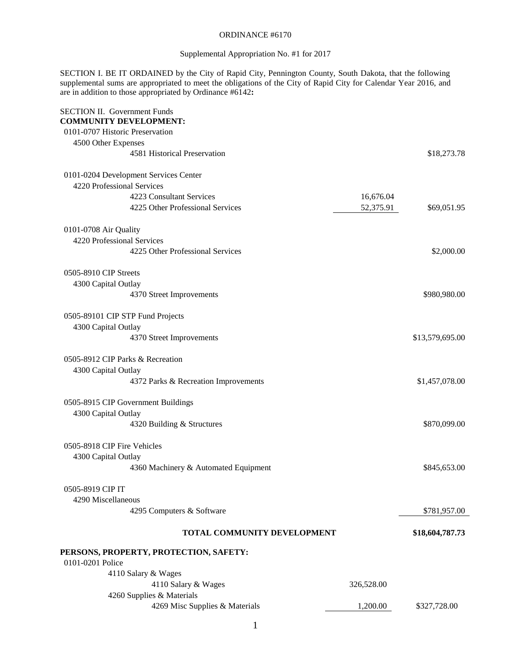### ORDINANCE #6170

### Supplemental Appropriation No. #1 for 2017

SECTION I. BE IT ORDAINED by the City of Rapid City, Pennington County, South Dakota, that the following supplemental sums are appropriated to meet the obligations of the City of Rapid City for Calendar Year 2016, and are in addition to those appropriated by Ordinance #6142**:**

| <b>SECTION II. Government Funds</b><br><b>COMMUNITY DEVELOPMENT:</b> |            |                 |
|----------------------------------------------------------------------|------------|-----------------|
| 0101-0707 Historic Preservation                                      |            |                 |
| 4500 Other Expenses                                                  |            |                 |
| 4581 Historical Preservation                                         |            | \$18,273.78     |
|                                                                      |            |                 |
| 0101-0204 Development Services Center                                |            |                 |
| 4220 Professional Services                                           |            |                 |
| 4223 Consultant Services                                             | 16,676.04  |                 |
| 4225 Other Professional Services                                     | 52,375.91  | \$69,051.95     |
| 0101-0708 Air Quality                                                |            |                 |
| 4220 Professional Services                                           |            |                 |
| 4225 Other Professional Services                                     |            | \$2,000.00      |
| 0505-8910 CIP Streets                                                |            |                 |
| 4300 Capital Outlay                                                  |            |                 |
| 4370 Street Improvements                                             |            | \$980,980.00    |
| 0505-89101 CIP STP Fund Projects                                     |            |                 |
| 4300 Capital Outlay                                                  |            |                 |
| 4370 Street Improvements                                             |            | \$13,579,695.00 |
|                                                                      |            |                 |
| 0505-8912 CIP Parks & Recreation                                     |            |                 |
| 4300 Capital Outlay                                                  |            |                 |
| 4372 Parks & Recreation Improvements                                 |            | \$1,457,078.00  |
| 0505-8915 CIP Government Buildings                                   |            |                 |
| 4300 Capital Outlay                                                  |            |                 |
| 4320 Building & Structures                                           |            | \$870,099.00    |
|                                                                      |            |                 |
| 0505-8918 CIP Fire Vehicles                                          |            |                 |
| 4300 Capital Outlay                                                  |            |                 |
| 4360 Machinery & Automated Equipment                                 |            | \$845,653.00    |
| 0505-8919 CIP IT                                                     |            |                 |
| 4290 Miscellaneous                                                   |            |                 |
| 4295 Computers & Software                                            |            | \$781,957.00    |
|                                                                      |            |                 |
| TOTAL COMMUNITY DEVELOPMENT                                          |            | \$18,604,787.73 |
| PERSONS, PROPERTY, PROTECTION, SAFETY:                               |            |                 |
| 0101-0201 Police                                                     |            |                 |
| 4110 Salary & Wages                                                  |            |                 |
| 4110 Salary & Wages                                                  | 326,528.00 |                 |
| 4260 Supplies & Materials                                            |            |                 |
| 4269 Misc Supplies & Materials                                       | 1,200.00   | \$327,728.00    |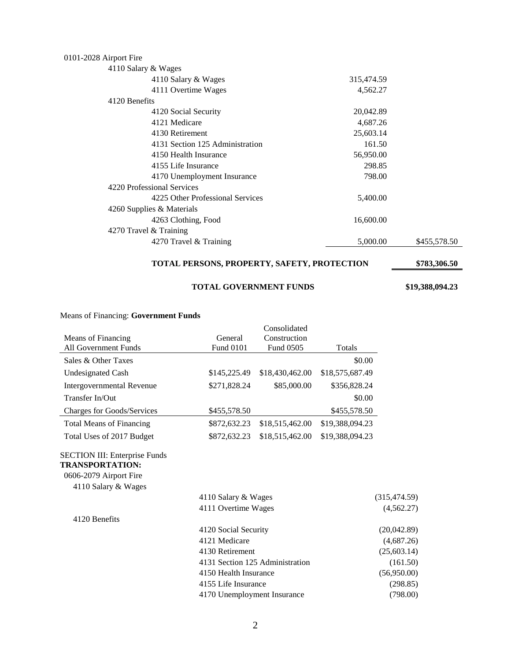## 0101-2028 Airport Fire

| 4110 Salary & Wages    |                                  |            |              |
|------------------------|----------------------------------|------------|--------------|
|                        | 4110 Salary & Wages              | 315,474.59 |              |
|                        | 4111 Overtime Wages              | 4,562.27   |              |
| 4120 Benefits          |                                  |            |              |
|                        | 4120 Social Security             | 20,042.89  |              |
|                        | 4121 Medicare                    | 4,687.26   |              |
|                        | 4130 Retirement                  | 25,603.14  |              |
|                        | 4131 Section 125 Administration  | 161.50     |              |
|                        | 4150 Health Insurance            | 56,950.00  |              |
|                        | 4155 Life Insurance              | 298.85     |              |
|                        | 4170 Unemployment Insurance      | 798.00     |              |
|                        | 4220 Professional Services       |            |              |
|                        | 4225 Other Professional Services | 5,400.00   |              |
|                        | 4260 Supplies & Materials        |            |              |
|                        | 4263 Clothing, Food              | 16,600.00  |              |
| 4270 Travel & Training |                                  |            |              |
|                        | 4270 Travel & Training           | 5,000.00   | \$455,578.50 |
|                        |                                  |            |              |

**TOTAL PERSONS, PROPERTY, SAFETY, PROTECTION \$783,306.50** 

### **TOTAL GOVERNMENT FUNDS \$19,388,094.23**

| Means of Financing. <b>Sovernment Funds</b>                    |                                 |                           |                 |               |
|----------------------------------------------------------------|---------------------------------|---------------------------|-----------------|---------------|
|                                                                |                                 | Consolidated              |                 |               |
| Means of Financing<br><b>All Government Funds</b>              | General<br>Fund 0101            | Construction<br>Fund 0505 | Totals          |               |
| Sales & Other Taxes                                            |                                 |                           | \$0.00          |               |
|                                                                |                                 |                           |                 |               |
| <b>Undesignated Cash</b>                                       | \$145,225.49                    | \$18,430,462.00           | \$18,575,687.49 |               |
| Intergovernmental Revenue                                      | \$271,828.24                    | \$85,000.00               | \$356,828.24    |               |
| Transfer In/Out                                                |                                 |                           | \$0.00          |               |
| <b>Charges for Goods/Services</b>                              | \$455,578.50                    |                           | \$455,578.50    |               |
| <b>Total Means of Financing</b>                                | \$872,632.23                    | \$18,515,462.00           | \$19,388,094.23 |               |
| Total Uses of 2017 Budget                                      | \$872,632.23                    | \$18,515,462.00           | \$19,388,094.23 |               |
| <b>SECTION III: Enterprise Funds</b><br><b>TRANSPORTATION:</b> |                                 |                           |                 |               |
| 0606-2079 Airport Fire                                         |                                 |                           |                 |               |
| 4110 Salary & Wages                                            |                                 |                           |                 |               |
|                                                                | 4110 Salary & Wages             |                           |                 | (315, 474.59) |
|                                                                | 4111 Overtime Wages             |                           |                 | (4,562.27)    |
| 4120 Benefits                                                  |                                 |                           |                 |               |
|                                                                | 4120 Social Security            |                           |                 | (20,042.89)   |
|                                                                | 4121 Medicare                   |                           |                 | (4,687.26)    |
|                                                                | 4130 Retirement                 |                           |                 | (25, 603.14)  |
|                                                                | 4131 Section 125 Administration |                           |                 | (161.50)      |
|                                                                | 4150 Health Insurance           |                           | (56,950.00)     |               |
|                                                                | 4155 Life Insurance             |                           |                 | (298.85)      |
|                                                                | 4170 Unemployment Insurance     |                           |                 | (798.00)      |
|                                                                |                                 |                           |                 |               |

#### Means of Financing: **Government Funds**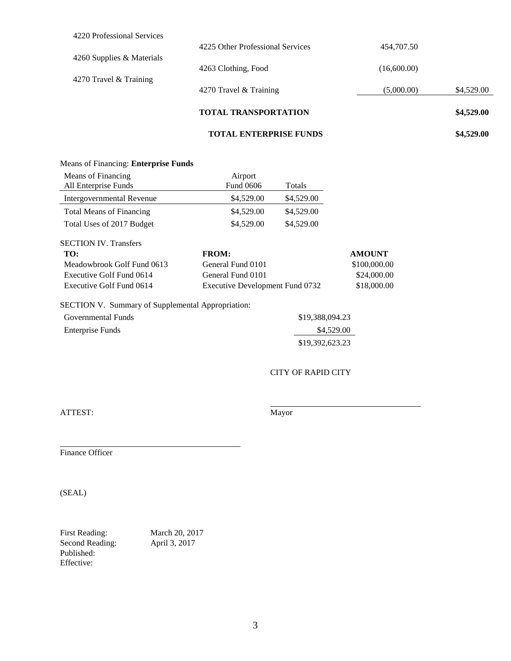|                            | <b>TOTAL ENTERPRISE FUNDS</b>    |             | \$4,529.00 |
|----------------------------|----------------------------------|-------------|------------|
|                            | <b>TOTAL TRANSPORTATION</b>      |             | \$4,529.00 |
|                            | 4270 Travel & Training           | (5,000.00)  | \$4,529.00 |
| 4270 Travel & Training     | 4263 Clothing, Food              | (16,600.00) |            |
| 4260 Supplies & Materials  | 4225 Other Professional Services | 454,707.50  |            |
| 4220 Professional Services |                                  |             |            |

### Means of Financing: **Enterprise Funds**

| Means of Financing              | Airport                         |            |               |
|---------------------------------|---------------------------------|------------|---------------|
| All Enterprise Funds            | Fund 0606                       | Totals     |               |
| Intergovernmental Revenue       | \$4,529.00                      | \$4,529.00 |               |
| <b>Total Means of Financing</b> | \$4,529.00                      | \$4,529.00 |               |
| Total Uses of 2017 Budget       | \$4,529.00                      | \$4,529.00 |               |
| <b>SECTION IV. Transfers</b>    |                                 |            |               |
| TO:                             | <b>FROM:</b>                    |            | <b>AMOUNT</b> |
| Meadowbrook Golf Fund 0613      | General Fund 0101               |            | \$100,000.00  |
| Executive Golf Fund 0614        | General Fund 0101               |            | \$24,000.00   |
| Executive Golf Fund 0614        | Executive Development Fund 0732 |            | \$18,000.00   |

# SECTION V. Summary of Supplemental Appropriation:

| Governmental Funds | \$19,388,094.23 |
|--------------------|-----------------|
| Enterprise Funds   | \$4,529.00      |
|                    | \$19,392,623.23 |

CITY OF RAPID CITY

ATTEST: Mayor

Finance Officer

(SEAL)

First Reading: March 20, 2017 Second Reading: April 3, 2017 Published: Effective: